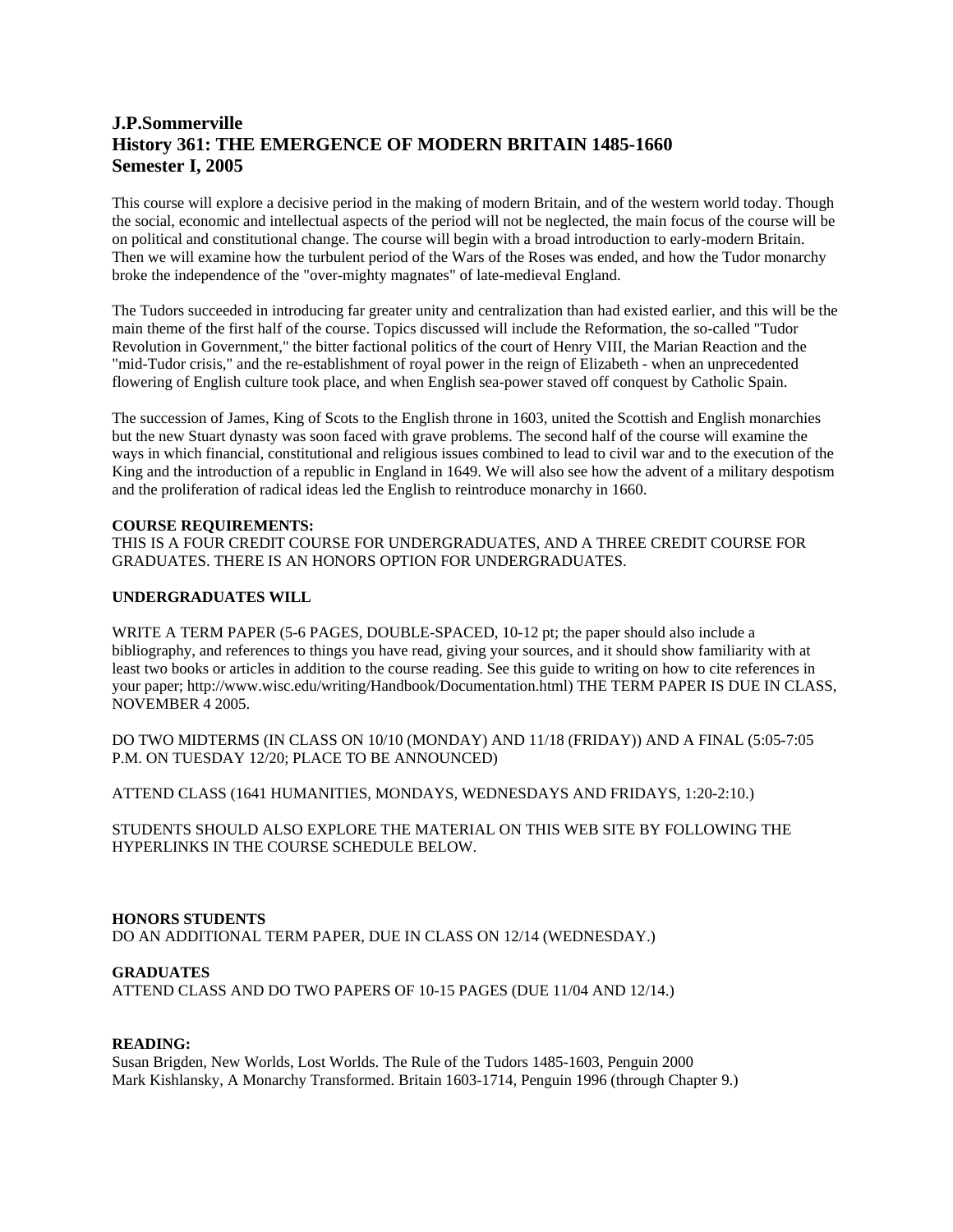# **J.P.Sommerville History 361: THE EMERGENCE OF MODERN BRITAIN 1485-1660 Semester I, 2005**

This course will explore a decisive period in the making of modern Britain, and of the western world today. Though the social, economic and intellectual aspects of the period will not be neglected, the main focus of the course will be on political and constitutional change. The course will begin with a broad introduction to early-modern Britain. Then we will examine how the turbulent period of the Wars of the Roses was ended, and how the Tudor monarchy broke the independence of the "over-mighty magnates" of late-medieval England.

The Tudors succeeded in introducing far greater unity and centralization than had existed earlier, and this will be the main theme of the first half of the course. Topics discussed will include the Reformation, the so-called "Tudor Revolution in Government," the bitter factional politics of the court of Henry VIII, the Marian Reaction and the "mid-Tudor crisis," and the re-establishment of royal power in the reign of Elizabeth - when an unprecedented flowering of English culture took place, and when English sea-power staved off conquest by Catholic Spain.

The succession of James, King of Scots to the English throne in 1603, united the Scottish and English monarchies but the new Stuart dynasty was soon faced with grave problems. The second half of the course will examine the ways in which financial, constitutional and religious issues combined to lead to civil war and to the execution of the King and the introduction of a republic in England in 1649. We will also see how the advent of a military despotism and the proliferation of radical ideas led the English to reintroduce monarchy in 1660.

## **COURSE REQUIREMENTS:**

THIS IS A FOUR CREDIT COURSE FOR UNDERGRADUATES, AND A THREE CREDIT COURSE FOR GRADUATES. THERE IS AN HONORS OPTION FOR UNDERGRADUATES.

## **UNDERGRADUATES WILL**

WRITE A TERM PAPER (5-6 PAGES, DOUBLE-SPACED, 10-12 pt; the paper should also include a bibliography, and references to things you have read, giving your sources, and it should show familiarity with at least two books or articles in addition to the course reading. See this guide to writing on how to cite references in your paper; http://www.wisc.edu/writing/Handbook/Documentation.html) THE TERM PAPER IS DUE IN CLASS, NOVEMBER 4 2005.

DO TWO MIDTERMS (IN CLASS ON 10/10 (MONDAY) AND 11/18 (FRIDAY)) AND A FINAL (5:05-7:05 P.M. ON TUESDAY 12/20; PLACE TO BE ANNOUNCED)

ATTEND CLASS (1641 HUMANITIES, MONDAYS, WEDNESDAYS AND FRIDAYS, 1:20-2:10.)

STUDENTS SHOULD ALSO EXPLORE THE MATERIAL ON THIS WEB SITE BY FOLLOWING THE HYPERLINKS IN THE COURSE SCHEDULE BELOW.

#### **HONORS STUDENTS**  DO AN ADDITIONAL TERM PAPER, DUE IN CLASS ON 12/14 (WEDNESDAY.)

#### **GRADUATES**

ATTEND CLASS AND DO TWO PAPERS OF 10-15 PAGES (DUE 11/04 AND 12/14.)

## **READING:**

Susan Brigden, New Worlds, Lost Worlds. The Rule of the Tudors 1485-1603, Penguin 2000 Mark Kishlansky, A Monarchy Transformed. Britain 1603-1714, Penguin 1996 (through Chapter 9.)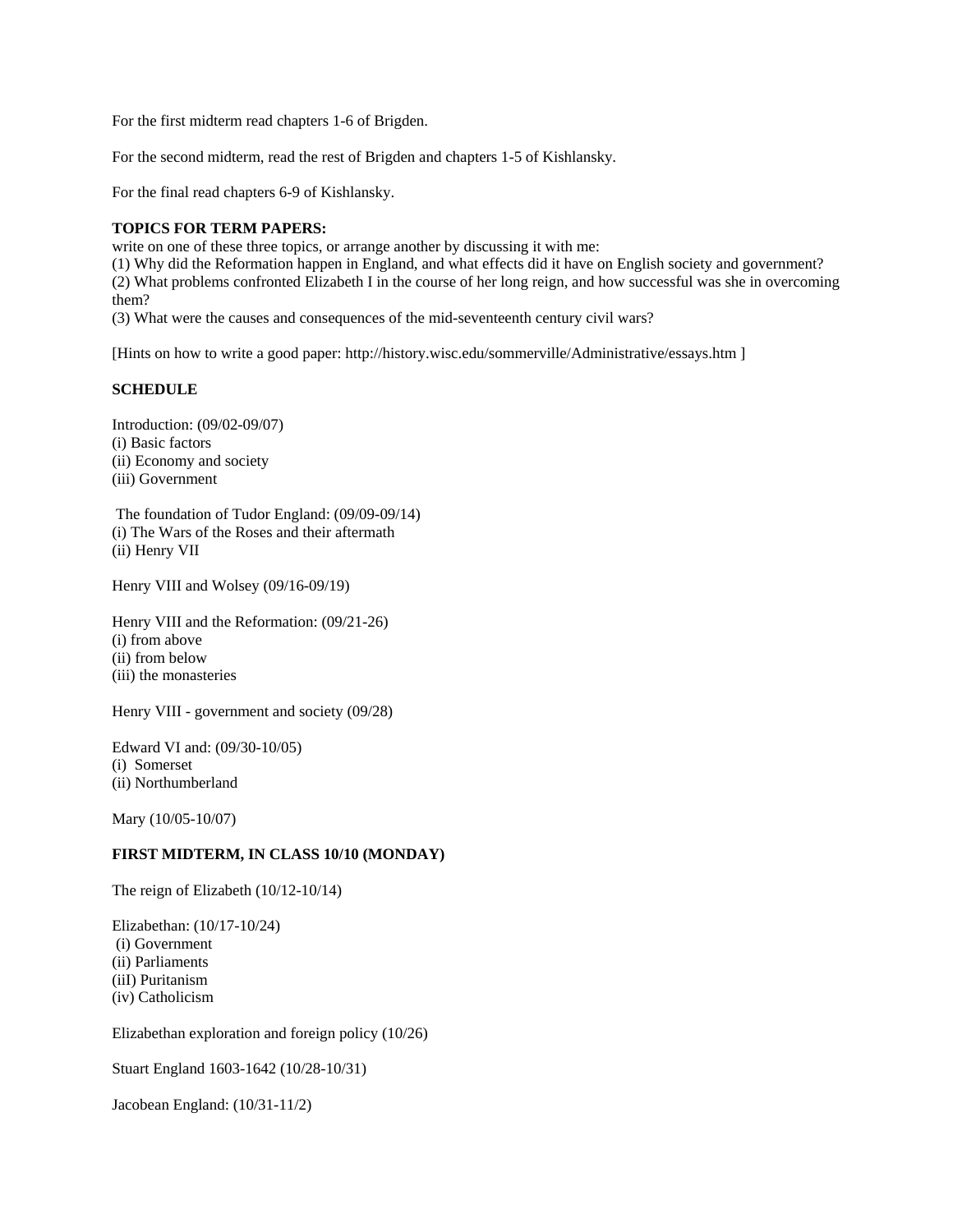For the first midterm read chapters 1-6 of Brigden.

For the second midterm, read the rest of Brigden and chapters 1-5 of Kishlansky.

For the final read chapters 6-9 of Kishlansky.

#### **TOPICS FOR TERM PAPERS:**

write on one of these three topics, or arrange another by discussing it with me:

(1) Why did the Reformation happen in England, and what effects did it have on English society and government? (2) What problems confronted Elizabeth I in the course of her long reign, and how successful was she in overcoming them?

(3) What were the causes and consequences of the mid-seventeenth century civil wars?

[Hints on how to write a good paper: http://history.wisc.edu/sommerville/Administrative/essays.htm ]

## **SCHEDULE**

Introduction: (09/02-09/07) (i) Basic factors (ii) Economy and society (iii) Government

 The foundation of Tudor England: (09/09-09/14) (i) The Wars of the Roses and their aftermath (ii) Henry VII

Henry VIII and Wolsey (09/16-09/19)

Henry VIII and the Reformation: (09/21-26) (i) from above (ii) from below (iii) the monasteries

Henry VIII - government and society (09/28)

Edward VI and: (09/30-10/05) (i) Somerset (ii) Northumberland

Mary (10/05-10/07)

## **FIRST MIDTERM, IN CLASS 10/10 (MONDAY)**

The reign of Elizabeth (10/12-10/14)

Elizabethan: (10/17-10/24) (i) Government (ii) Parliaments (iiI) Puritanism (iv) Catholicism

Elizabethan exploration and foreign policy (10/26)

Stuart England 1603-1642 (10/28-10/31)

Jacobean England: (10/31-11/2)